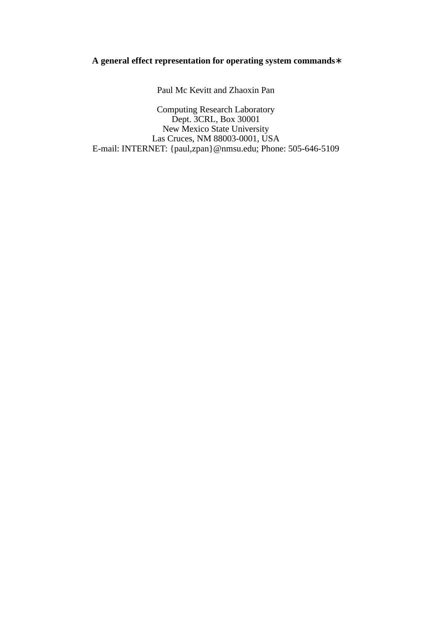### **A general effect representation for operating system commands**∗

Paul Mc Kevitt and Zhaoxin Pan

Computing Research Laboratory Dept. 3CRL, Box 30001 New Mexico State University Las Cruces, NM 88003-0001, USA E-mail: INTERNET: {paul,zpan}@nmsu.edu; Phone: 505-646-5109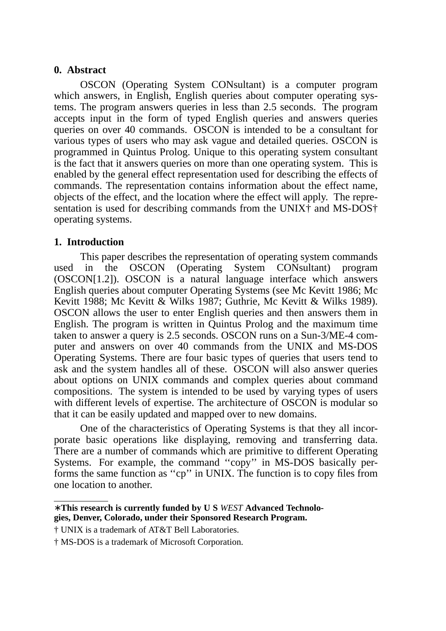## **0. Abstract**

OSCON (Operating System CONsultant) is a computer program which answers, in English, English queries about computer operating systems. The program answers queries in less than 2.5 seconds. The program accepts input in the form of typed English queries and answers queries queries on over 40 commands. OSCON is intended to be a consultant for various types of users who may ask vague and detailed queries. OSCON is programmed in Quintus Prolog. Unique to this operating system consultant is the fact that it answers queries on more than one operating system. This is enabled by the general effect representation used for describing the effects of commands. The representation contains information about the effect name, objects of the effect, and the location where the effect will apply. The representation is used for describing commands from the UNIX† and MS-DOS† operating systems.

### **1. Introduction**

This paper describes the representation of operating system commands used in the OSCON (Operating System CONsultant) program (OSCON[1.2]). OSCON is a natural language interface which answers English queries about computer Operating Systems (see Mc Kevitt 1986; Mc Kevitt 1988; Mc Kevitt & Wilks 1987; Guthrie, Mc Kevitt & Wilks 1989). OSCON allows the user to enter English queries and then answers them in English. The program is written in Quintus Prolog and the maximum time taken to answer a query is 2.5 seconds. OSCON runs on a Sun-3/ME-4 computer and answers on over 40 commands from the UNIX and MS-DOS Operating Systems. There are four basic types of queries that users tend to ask and the system handles all of these. OSCON will also answer queries about options on UNIX commands and complex queries about command compositions. The system is intended to be used by varying types of users with different levels of expertise. The architecture of OSCON is modular so that it can be easily updated and mapped over to new domains.

One of the characteristics of Operating Systems is that they all incorporate basic operations like displaying, removing and transferring data. There are a number of commands which are primitive to different Operating Systems. For example, the command ''copy'' in MS-DOS basically performs the same function as ''cp'' in UNIX. The function is to copy files from one location to another.

<sup>∗</sup> **This research is currently funded by U S** *WEST* **Advanced Technologies, Denver, Colorado, under their Sponsored Research Program.**

<sup>†</sup> UNIX is a trademark of AT&T Bell Laboratories.

<sup>†</sup> MS-DOS is a trademark of Microsoft Corporation.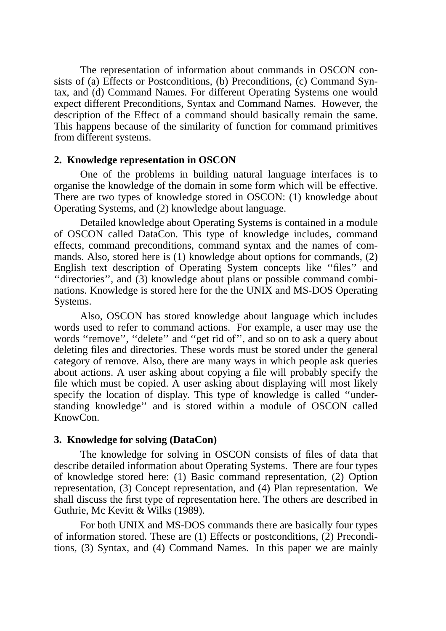The representation of information about commands in OSCON consists of (a) Effects or Postconditions, (b) Preconditions, (c) Command Syntax, and (d) Command Names. For different Operating Systems one would expect different Preconditions, Syntax and Command Names. However, the description of the Effect of a command should basically remain the same. This happens because of the similarity of function for command primitives from different systems.

### **2. Knowledge representation in OSCON**

One of the problems in building natural language interfaces is to organise the knowledge of the domain in some form which will be effective. There are two types of knowledge stored in OSCON: (1) knowledge about Operating Systems, and (2) knowledge about language.

Detailed knowledge about Operating Systems is contained in a module of OSCON called DataCon. This type of knowledge includes, command effects, command preconditions, command syntax and the names of commands. Also, stored here is (1) knowledge about options for commands, (2) English text description of Operating System concepts like ''files'' and ''directories'', and (3) knowledge about plans or possible command combinations. Knowledge is stored here for the the UNIX and MS-DOS Operating Systems.

Also, OSCON has stored knowledge about language which includes words used to refer to command actions. For example, a user may use the words "remove", "delete" and "get rid of", and so on to ask a query about deleting files and directories. These words must be stored under the general category of remove. Also, there are many ways in which people ask queries about actions. A user asking about copying a file will probably specify the file which must be copied. A user asking about displaying will most likely specify the location of display. This type of knowledge is called ''understanding knowledge'' and is stored within a module of OSCON called KnowCon.

#### **3. Knowledge for solving (DataCon)**

The knowledge for solving in OSCON consists of files of data that describe detailed information about Operating Systems. There are four types of knowledge stored here: (1) Basic command representation, (2) Option representation, (3) Concept representation, and (4) Plan representation. We shall discuss the first type of representation here. The others are described in Guthrie, Mc Kevitt & Wilks (1989).

For both UNIX and MS-DOS commands there are basically four types of information stored. These are (1) Effects or postconditions, (2) Preconditions, (3) Syntax, and (4) Command Names. In this paper we are mainly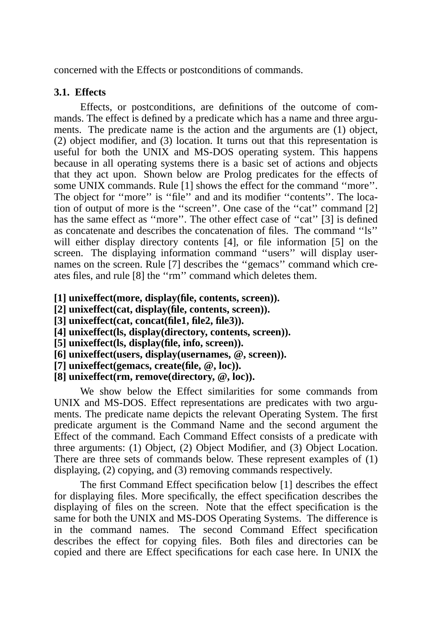concerned with the Effects or postconditions of commands.

### **3.1. Effects**

Effects, or postconditions, are definitions of the outcome of commands. The effect is defined by a predicate which has a name and three arguments. The predicate name is the action and the arguments are (1) object, (2) object modifier, and (3) location. It turns out that this representation is useful for both the UNIX and MS-DOS operating system. This happens because in all operating systems there is a basic set of actions and objects that they act upon. Shown below are Prolog predicates for the effects of some UNIX commands. Rule [1] shows the effect for the command ''more''. The object for "more" is "file" and and its modifier "contents". The location of output of more is the ''screen''. One case of the ''cat'' command [2] has the same effect as "more". The other effect case of "cat" [3] is defined as concatenate and describes the concatenation of files. The command ''ls'' will either display directory contents [4], or file information [5] on the screen. The displaying information command ''users'' will display usernames on the screen. Rule [7] describes the ''gemacs'' command which creates files, and rule [8] the ''rm'' command which deletes them.

- **[1] unixeffect(more, display(file, contents, screen)).**
- **[2] unixeffect(cat, display(file, contents, screen)).**
- **[3] unixeffect(cat, concat(file1, file2, file3)).**
- **[4] unixeffect(ls, display(directory, contents, screen)).**
- **[5] unixeffect(ls, display(file, info, screen)).**
- **[6] unixeffect(users, display(usernames, @, screen)).**
- **[7] unixeffect(gemacs, create(file, @, loc)).**
- **[8] unixeffect(rm, remove(directory, @, loc)).**

We show below the Effect similarities for some commands from UNIX and MS-DOS. Effect representations are predicates with two arguments. The predicate name depicts the relevant Operating System. The first predicate argument is the Command Name and the second argument the Effect of the command. Each Command Effect consists of a predicate with three arguments: (1) Object, (2) Object Modifier, and (3) Object Location. There are three sets of commands below. These represent examples of (1) displaying, (2) copying, and (3) removing commands respectively.

The first Command Effect specification below [1] describes the effect for displaying files. More specifically, the effect specification describes the displaying of files on the screen. Note that the effect specification is the same for both the UNIX and MS-DOS Operating Systems. The difference is in the command names. The second Command Effect specification describes the effect for copying files. Both files and directories can be copied and there are Effect specifications for each case here. In UNIX the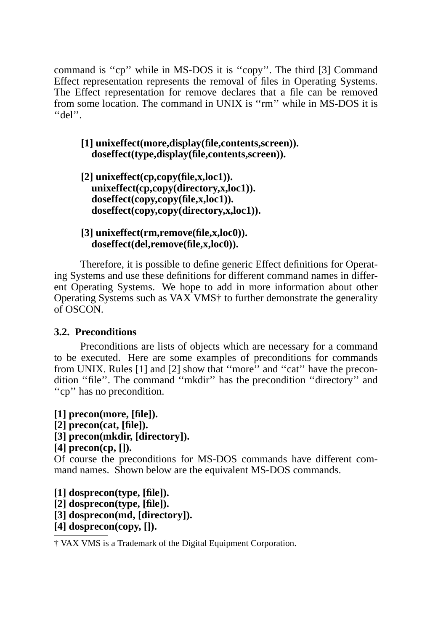command is ''cp'' while in MS-DOS it is ''copy''. The third [3] Command Effect representation represents the removal of files in Operating Systems. The Effect representation for remove declares that a file can be removed from some location. The command in UNIX is ''rm'' while in MS-DOS it is  $"del"$ .

# **[1] unixeffect(more,display(file,contents,screen)). doseffect(type,display(file,contents,screen)).**

**[2] unixeffect(cp,copy(file,x,loc1)). unixeffect(cp,copy(directory,x,loc1)). doseffect(copy,copy(file,x,loc1)). doseffect(copy,copy(directory,x,loc1)).**

## **[3] unixeffect(rm,remove(file,x,loc0)). doseffect(del,remove(file,x,loc0)).**

Therefore, it is possible to define generic Effect definitions for Operating Systems and use these definitions for different command names in different Operating Systems. We hope to add in more information about other Operating Systems such as VAX VMS† to further demonstrate the generality of OSCON.

# **3.2. Preconditions**

Preconditions are lists of objects which are necessary for a command to be executed. Here are some examples of preconditions for commands from UNIX. Rules [1] and [2] show that "more" and "cat" have the precondition ''file''. The command ''mkdir'' has the precondition ''directory'' and "cp" has no precondition.

**[1] precon(more, [file]). [2] precon(cat, [file]). [3] precon(mkdir, [directory]).**

# **[4] precon(cp, []).**

Of course the preconditions for MS-DOS commands have different command names. Shown below are the equivalent MS-DOS commands.

**[1] dosprecon(type, [file]). [2] dosprecon(type, [file]). [3] dosprecon(md, [directory]). [4] dosprecon(copy, []).**

† VAX VMS is a Trademark of the Digital Equipment Corporation.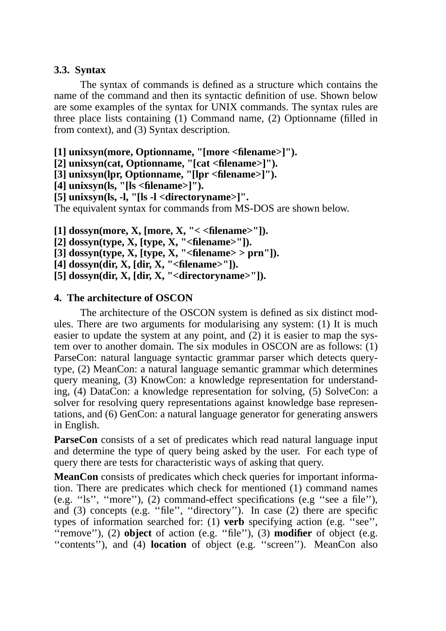## **3.3. Syntax**

The syntax of commands is defined as a structure which contains the name of the command and then its syntactic definition of use. Shown below are some examples of the syntax for UNIX commands. The syntax rules are three place lists containing (1) Command name, (2) Optionname (filled in from context), and (3) Syntax description.

**[1] unixsyn(more, Optionname, "[more <filename>]").**

**[2] unixsyn(cat, Optionname, "[cat <filename>]").**

**[3] unixsyn(lpr, Optionname, "[lpr <filename>]").**

**[4] unixsyn(ls, "[ls <filename>]").**

**[5] unixsyn(ls, -l, "[ls -l <directoryname>]".**

The equivalent syntax for commands from MS-DOS are shown below.

**[1] dossyn(more, X, [more, X, "< <filename>"]).**

**[2] dossyn(type, X, [type, X, "<filename>"]).**

 $\overline{[3]}$  dossyn(type, X,  $\overline{[type, X]}$ , "<filename> > prn"]).

**[4] dossyn(dir, X, [dir, X, "<filename>"]).**

**[5] dossyn(dir, X, [dir, X, "<directoryname>"]).**

# **4. The architecture of OSCON**

The architecture of the OSCON system is defined as six distinct modules. There are two arguments for modularising any system: (1) It is much easier to update the system at any point, and (2) it is easier to map the system over to another domain. The six modules in OSCON are as follows: (1) ParseCon: natural language syntactic grammar parser which detects querytype, (2) MeanCon: a natural language semantic grammar which determines query meaning, (3) KnowCon: a knowledge representation for understanding, (4) DataCon: a knowledge representation for solving, (5) SolveCon: a solver for resolving query representations against knowledge base representations, and (6) GenCon: a natural language generator for generating answers in English.

**ParseCon** consists of a set of predicates which read natural language input and determine the type of query being asked by the user. For each type of query there are tests for characteristic ways of asking that query.

**MeanCon** consists of predicates which check queries for important information. There are predicates which check for mentioned (1) command names (e.g. ''ls'', ''more''), (2) command-effect specifications (e.g ''see a file''), and (3) concepts (e.g. ''file'', ''directory''). In case (2) there are specific types of information searched for: (1) **verb** specifying action (e.g. ''see'', ''remove''), (2) **object** of action (e.g. ''file''), (3) **modifier** of object (e.g. "contents"), and (4) **location** of object (e.g. "screen"). MeanCon also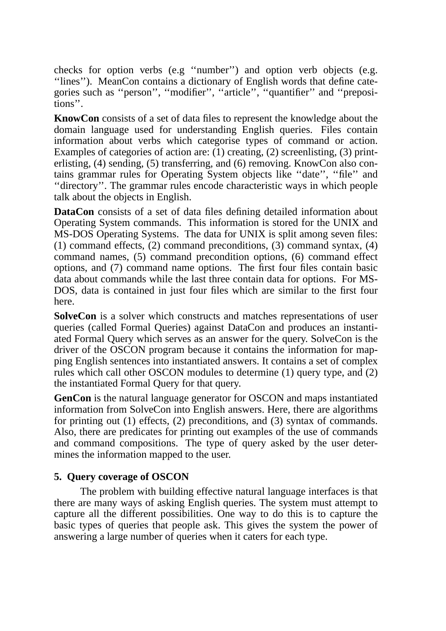checks for option verbs (e.g ''number'') and option verb objects (e.g. ''lines''). MeanCon contains a dictionary of English words that define categories such as ''person'', ''modifier'', ''article'', ''quantifier'' and ''prepositions''.

**KnowCon** consists of a set of data files to represent the knowledge about the domain language used for understanding English queries. Files contain information about verbs which categorise types of command or action. Examples of categories of action are: (1) creating, (2) screenlisting, (3) printerlisting, (4) sending, (5) transferring, and (6) removing. KnowCon also contains grammar rules for Operating System objects like ''date'', ''file'' and ''directory''. The grammar rules encode characteristic ways in which people talk about the objects in English.

**DataCon** consists of a set of data files defining detailed information about Operating System commands. This information is stored for the UNIX and MS-DOS Operating Systems. The data for UNIX is split among seven files: (1) command effects, (2) command preconditions, (3) command syntax, (4) command names, (5) command precondition options, (6) command effect options, and (7) command name options. The first four files contain basic data about commands while the last three contain data for options. For MS-DOS, data is contained in just four files which are similar to the first four here.

**SolveCon** is a solver which constructs and matches representations of user queries (called Formal Queries) against DataCon and produces an instantiated Formal Query which serves as an answer for the query. SolveCon is the driver of the OSCON program because it contains the information for mapping English sentences into instantiated answers. It contains a set of complex rules which call other OSCON modules to determine (1) query type, and (2) the instantiated Formal Query for that query.

**GenCon** is the natural language generator for OSCON and maps instantiated information from SolveCon into English answers. Here, there are algorithms for printing out (1) effects, (2) preconditions, and (3) syntax of commands. Also, there are predicates for printing out examples of the use of commands and command compositions. The type of query asked by the user determines the information mapped to the user.

# **5. Query coverage of OSCON**

The problem with building effective natural language interfaces is that there are many ways of asking English queries. The system must attempt to capture all the different possibilities. One way to do this is to capture the basic types of queries that people ask. This gives the system the power of answering a large number of queries when it caters for each type.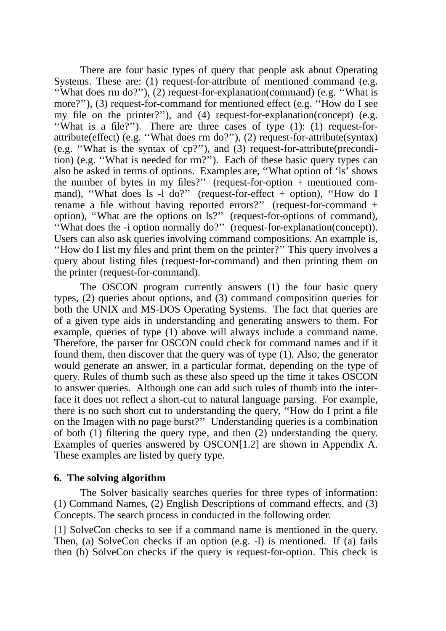There are four basic types of query that people ask about Operating Systems. These are: (1) request-for-attribute of mentioned command (e.g. ''What does rm do?''), (2) request-for-explanation(command) (e.g. ''What is more?"), (3) request-for-command for mentioned effect (e.g. "How do I see my file on the printer?''), and (4) request-for-explanation(concept) (e.g. ''What is a file?''). There are three cases of type (1): (1) request-forattribute(effect) (e.g. ''What does rm do?''), (2) request-for-attribute(syntax) (e.g. ''What is the syntax of cp?''), and (3) request-for-attribute(precondition) (e.g. ''What is needed for rm?''). Each of these basic query types can also be asked in terms of options. Examples are, ''What option of 'ls' shows the number of bytes in my files?" (request-for-option  $+$  mentioned command), "What does ls -l do?" (request-for-effect + option), "How do I rename a file without having reported errors?'' (request-for-command + option), ''What are the options on ls?'' (request-for-options of command), ''What does the -i option normally do?'' (request-for-explanation(concept)). Users can also ask queries involving command compositions. An example is, ''How do I list my files and print them on the printer?'' This query involves a query about listing files (request-for-command) and then printing them on the printer (request-for-command).

The OSCON program currently answers (1) the four basic query types, (2) queries about options, and (3) command composition queries for both the UNIX and MS-DOS Operating Systems. The fact that queries are of a given type aids in understanding and generating answers to them. For example, queries of type (1) above will always include a command name. Therefore, the parser for OSCON could check for command names and if it found them, then discover that the query was of type (1). Also, the generator would generate an answer, in a particular format, depending on the type of query. Rules of thumb such as these also speed up the time it takes OSCON to answer queries. Although one can add such rules of thumb into the interface it does not reflect a short-cut to natural language parsing. For example, there is no such short cut to understanding the query, ''How do I print a file on the Imagen with no page burst?'' Understanding queries is a combination of both (1) filtering the query type, and then (2) understanding the query. Examples of queries answered by OSCON[1.2] are shown in Appendix A. These examples are listed by query type.

### **6. The solving algorithm**

The Solver basically searches queries for three types of information: (1) Command Names, (2) English Descriptions of command effects, and (3) Concepts. The search process in conducted in the following order.

[1] SolveCon checks to see if a command name is mentioned in the query. Then, (a) SolveCon checks if an option (e.g. -l) is mentioned. If (a) fails then (b) SolveCon checks if the query is request-for-option. This check is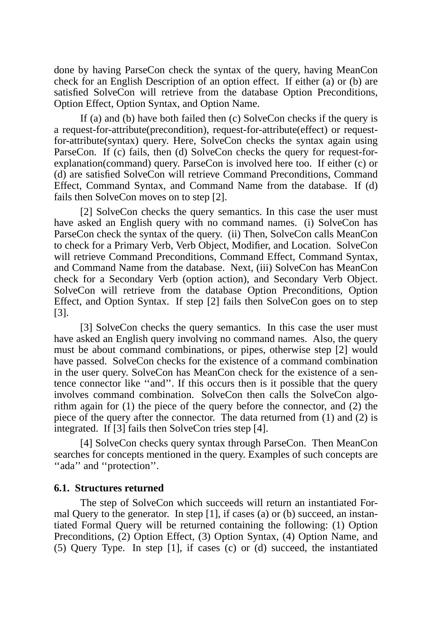done by having ParseCon check the syntax of the query, having MeanCon check for an English Description of an option effect. If either (a) or (b) are satisfied SolveCon will retrieve from the database Option Preconditions, Option Effect, Option Syntax, and Option Name.

If (a) and (b) have both failed then (c) SolveCon checks if the query is a request-for-attribute(precondition), request-for-attribute(effect) or requestfor-attribute(syntax) query. Here, SolveCon checks the syntax again using ParseCon. If (c) fails, then (d) SolveCon checks the query for request-forexplanation(command) query. ParseCon is involved here too. If either (c) or (d) are satisfied SolveCon will retrieve Command Preconditions, Command Effect, Command Syntax, and Command Name from the database. If (d) fails then SolveCon moves on to step [2].

[2] SolveCon checks the query semantics. In this case the user must have asked an English query with no command names. (i) SolveCon has ParseCon check the syntax of the query. (ii) Then, SolveCon calls MeanCon to check for a Primary Verb, Verb Object, Modifier, and Location. SolveCon will retrieve Command Preconditions, Command Effect, Command Syntax, and Command Name from the database. Next, (iii) SolveCon has MeanCon check for a Secondary Verb (option action), and Secondary Verb Object. SolveCon will retrieve from the database Option Preconditions, Option Effect, and Option Syntax. If step [2] fails then SolveCon goes on to step [3].

[3] SolveCon checks the query semantics. In this case the user must have asked an English query involving no command names. Also, the query must be about command combinations, or pipes, otherwise step [2] would have passed. SolveCon checks for the existence of a command combination in the user query. SolveCon has MeanCon check for the existence of a sentence connector like ''and''. If this occurs then is it possible that the query involves command combination. SolveCon then calls the SolveCon algorithm again for (1) the piece of the query before the connector, and (2) the piece of the query after the connector. The data returned from (1) and (2) is integrated. If [3] fails then SolveCon tries step [4].

[4] SolveCon checks query syntax through ParseCon. Then MeanCon searches for concepts mentioned in the query. Examples of such concepts are "ada" and "protection".

### **6.1. Structures returned**

The step of SolveCon which succeeds will return an instantiated Formal Query to the generator. In step [1], if cases (a) or (b) succeed, an instantiated Formal Query will be returned containing the following: (1) Option Preconditions, (2) Option Effect, (3) Option Syntax, (4) Option Name, and (5) Query Type. In step [1], if cases (c) or (d) succeed, the instantiated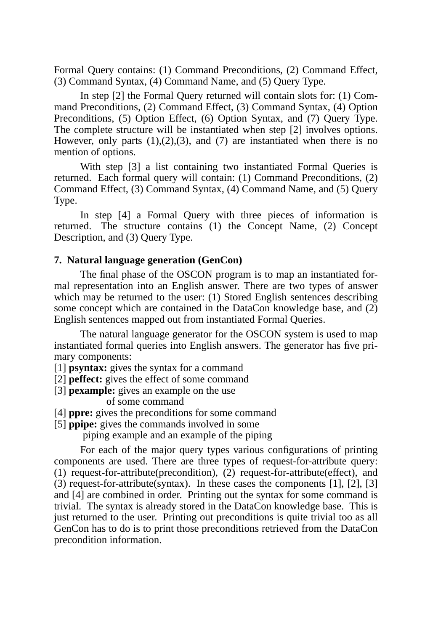Formal Query contains: (1) Command Preconditions, (2) Command Effect, (3) Command Syntax, (4) Command Name, and (5) Query Type.

In step [2] the Formal Query returned will contain slots for: (1) Command Preconditions, (2) Command Effect, (3) Command Syntax, (4) Option Preconditions, (5) Option Effect, (6) Option Syntax, and (7) Query Type. The complete structure will be instantiated when step [2] involves options. However, only parts  $(1),(2),(3)$ , and  $(7)$  are instantiated when there is no mention of options.

With step [3] a list containing two instantiated Formal Queries is returned. Each formal query will contain: (1) Command Preconditions, (2) Command Effect, (3) Command Syntax, (4) Command Name, and (5) Query Type.

In step [4] a Formal Query with three pieces of information is returned. The structure contains (1) the Concept Name, (2) Concept Description, and (3) Query Type.

## **7. Natural language generation (GenCon)**

The final phase of the OSCON program is to map an instantiated formal representation into an English answer. There are two types of answer which may be returned to the user: (1) Stored English sentences describing some concept which are contained in the DataCon knowledge base, and (2) English sentences mapped out from instantiated Formal Queries.

The natural language generator for the OSCON system is used to map instantiated formal queries into English answers. The generator has five primary components:

[1] **psyntax:** gives the syntax for a command

[2] **peffect:** gives the effect of some command

[3] **pexample:** gives an example on the use

of some command

[4] **ppre:** gives the preconditions for some command

[5] **ppipe:** gives the commands involved in some

piping example and an example of the piping

For each of the major query types various configurations of printing components are used. There are three types of request-for-attribute query: (1) request-for-attribute(precondition), (2) request-for-attribute(effect), and (3) request-for-attribute(syntax). In these cases the components [1], [2], [3] and [4] are combined in order. Printing out the syntax for some command is trivial. The syntax is already stored in the DataCon knowledge base. This is just returned to the user. Printing out preconditions is quite trivial too as all GenCon has to do is to print those preconditions retrieved from the DataCon precondition information.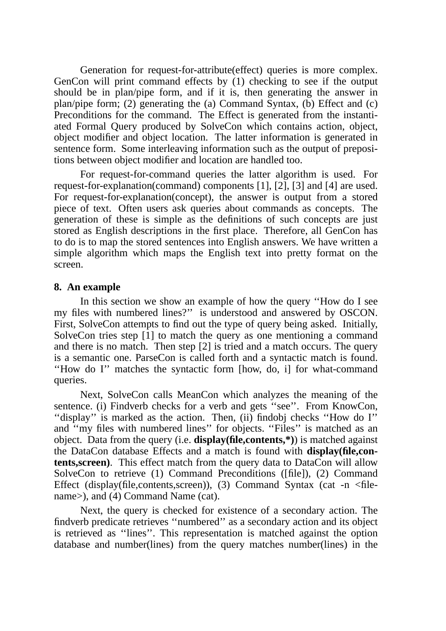Generation for request-for-attribute(effect) queries is more complex. GenCon will print command effects by (1) checking to see if the output should be in plan/pipe form, and if it is, then generating the answer in plan/pipe form; (2) generating the (a) Command Syntax, (b) Effect and (c) Preconditions for the command. The Effect is generated from the instantiated Formal Query produced by SolveCon which contains action, object, object modifier and object location. The latter information is generated in sentence form. Some interleaving information such as the output of prepositions between object modifier and location are handled too.

For request-for-command queries the latter algorithm is used. For request-for-explanation(command) components [1], [2], [3] and [4] are used. For request-for-explanation(concept), the answer is output from a stored piece of text. Often users ask queries about commands as concepts. The generation of these is simple as the definitions of such concepts are just stored as English descriptions in the first place. Therefore, all GenCon has to do is to map the stored sentences into English answers. We have written a simple algorithm which maps the English text into pretty format on the screen.

### **8. An example**

In this section we show an example of how the query "How do I see my files with numbered lines?'' is understood and answered by OSCON. First, SolveCon attempts to find out the type of query being asked. Initially, SolveCon tries step [1] to match the query as one mentioning a command and there is no match. Then step [2] is tried and a match occurs. The query is a semantic one. ParseCon is called forth and a syntactic match is found. ''How do I'' matches the syntactic form [how, do, i] for what-command queries.

Next, SolveCon calls MeanCon which analyzes the meaning of the sentence. (i) Findverb checks for a verb and gets ''see''. From KnowCon, ''display'' is marked as the action. Then, (ii) findobj checks ''How do I'' and ''my files with numbered lines'' for objects. ''Files'' is matched as an object. Data from the query (i.e. **display(file,contents,\*)**) is matched against the DataCon database Effects and a match is found with **display(file,contents,screen)**. This effect match from the query data to DataCon will allow SolveCon to retrieve (1) Command Preconditions ([file]), (2) Command Effect (display(file,contents,screen)), (3) Command Syntax (cat -n  $\leq$  filename>), and (4) Command Name (cat).

Next, the query is checked for existence of a secondary action. The findverb predicate retrieves ''numbered'' as a secondary action and its object is retrieved as ''lines''. This representation is matched against the option database and number(lines) from the query matches number(lines) in the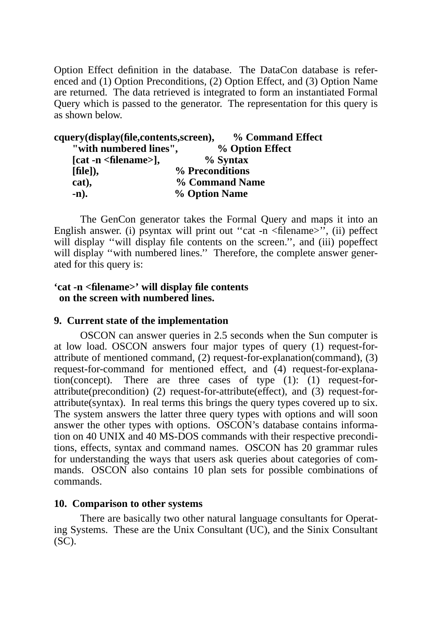Option Effect definition in the database. The DataCon database is referenced and (1) Option Preconditions, (2) Option Effect, and (3) Option Name are returned. The data retrieved is integrated to form an instantiated Formal Query which is passed to the generator. The representation for this query is as shown below.

| cquery(display(file,contents,screen), | % Command Effect |
|---------------------------------------|------------------|
| "with numbered lines",                | % Option Effect  |
| $[cat -n \leq filename>]$ ,           | $\%$ Syntax      |
| $[file]$ ,                            | % Preconditions  |
| cat),                                 | % Command Name   |
| $\mathbf{-n}$ ).                      | % Option Name    |

The GenCon generator takes the Formal Query and maps it into an English answer. (i) psyntax will print out "cat -n <filename>", (ii) peffect will display "will display file contents on the screen.", and (iii) poperfect will display "with numbered lines." Therefore, the complete answer generated for this query is:

### **'cat -n <filename>' will display file contents on the screen with numbered lines.**

## **9. Current state of the implementation**

OSCON can answer queries in 2.5 seconds when the Sun computer is at low load. OSCON answers four major types of query (1) request-forattribute of mentioned command, (2) request-for-explanation(command), (3) request-for-command for mentioned effect, and (4) request-for-explanation(concept). There are three cases of type (1): (1) request-forattribute(precondition) (2) request-for-attribute(effect), and (3) request-forattribute(syntax). In real terms this brings the query types covered up to six. The system answers the latter three query types with options and will soon answer the other types with options. OSCON's database contains information on 40 UNIX and 40 MS-DOS commands with their respective preconditions, effects, syntax and command names. OSCON has 20 grammar rules for understanding the ways that users ask queries about categories of commands. OSCON also contains 10 plan sets for possible combinations of commands.

## **10. Comparison to other systems**

There are basically two other natural language consultants for Operating Systems. These are the Unix Consultant (UC), and the Sinix Consultant (SC).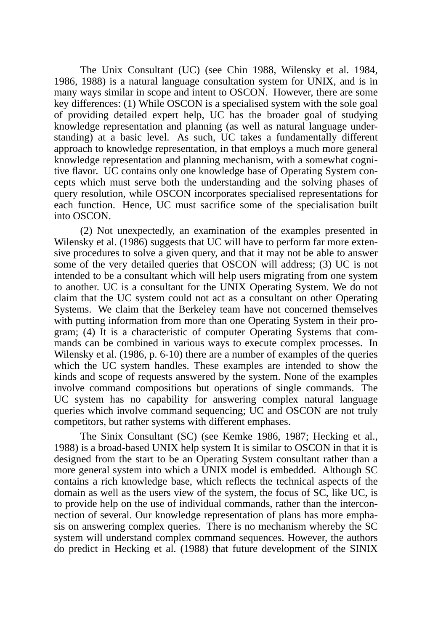The Unix Consultant (UC) (see Chin 1988, Wilensky et al. 1984, 1986, 1988) is a natural language consultation system for UNIX, and is in many ways similar in scope and intent to OSCON. However, there are some key differences: (1) While OSCON is a specialised system with the sole goal of providing detailed expert help, UC has the broader goal of studying knowledge representation and planning (as well as natural language understanding) at a basic level. As such, UC takes a fundamentally different approach to knowledge representation, in that employs a much more general knowledge representation and planning mechanism, with a somewhat cognitive flavor. UC contains only one knowledge base of Operating System concepts which must serve both the understanding and the solving phases of query resolution, while OSCON incorporates specialised representations for each function. Hence, UC must sacrifice some of the specialisation built into OSCON.

(2) Not unexpectedly, an examination of the examples presented in Wilensky et al. (1986) suggests that UC will have to perform far more extensive procedures to solve a given query, and that it may not be able to answer some of the very detailed queries that OSCON will address; (3) UC is not intended to be a consultant which will help users migrating from one system to another. UC is a consultant for the UNIX Operating System. We do not claim that the UC system could not act as a consultant on other Operating Systems. We claim that the Berkeley team have not concerned themselves with putting information from more than one Operating System in their program; (4) It is a characteristic of computer Operating Systems that commands can be combined in various ways to execute complex processes. In Wilensky et al. (1986, p. 6-10) there are a number of examples of the queries which the UC system handles. These examples are intended to show the kinds and scope of requests answered by the system. None of the examples involve command compositions but operations of single commands. The UC system has no capability for answering complex natural language queries which involve command sequencing; UC and OSCON are not truly competitors, but rather systems with different emphases.

The Sinix Consultant (SC) (see Kemke 1986, 1987; Hecking et al., 1988) is a broad-based UNIX help system It is similar to OSCON in that it is designed from the start to be an Operating System consultant rather than a more general system into which a UNIX model is embedded. Although SC contains a rich knowledge base, which reflects the technical aspects of the domain as well as the users view of the system, the focus of SC, like UC, is to provide help on the use of individual commands, rather than the interconnection of several. Our knowledge representation of plans has more emphasis on answering complex queries. There is no mechanism whereby the SC system will understand complex command sequences. However, the authors do predict in Hecking et al. (1988) that future development of the SINIX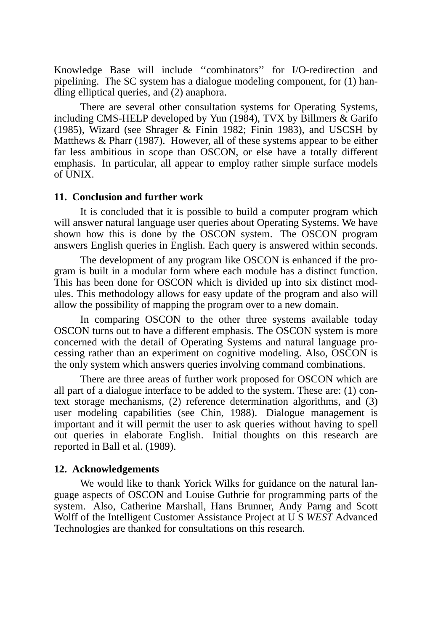Knowledge Base will include ''combinators'' for I/O-redirection and pipelining. The SC system has a dialogue modeling component, for (1) handling elliptical queries, and (2) anaphora.

There are several other consultation systems for Operating Systems, including CMS-HELP developed by Yun (1984), TVX by Billmers & Garifo (1985), Wizard (see Shrager & Finin 1982; Finin 1983), and USCSH by Matthews & Pharr (1987). However, all of these systems appear to be either far less ambitious in scope than OSCON, or else have a totally different emphasis. In particular, all appear to employ rather simple surface models of UNIX.

#### **11. Conclusion and further work**

It is concluded that it is possible to build a computer program which will answer natural language user queries about Operating Systems. We have shown how this is done by the OSCON system. The OSCON program answers English queries in English. Each query is answered within seconds.

The development of any program like OSCON is enhanced if the program is built in a modular form where each module has a distinct function. This has been done for OSCON which is divided up into six distinct modules. This methodology allows for easy update of the program and also will allow the possibility of mapping the program over to a new domain.

In comparing OSCON to the other three systems available today OSCON turns out to have a different emphasis. The OSCON system is more concerned with the detail of Operating Systems and natural language processing rather than an experiment on cognitive modeling. Also, OSCON is the only system which answers queries involving command combinations.

There are three areas of further work proposed for OSCON which are all part of a dialogue interface to be added to the system. These are: (1) context storage mechanisms, (2) reference determination algorithms, and (3) user modeling capabilities (see Chin, 1988). Dialogue management is important and it will permit the user to ask queries without having to spell out queries in elaborate English. Initial thoughts on this research are reported in Ball et al. (1989).

#### **12. Acknowledgements**

We would like to thank Yorick Wilks for guidance on the natural language aspects of OSCON and Louise Guthrie for programming parts of the system. Also, Catherine Marshall, Hans Brunner, Andy Parng and Scott Wolff of the Intelligent Customer Assistance Project at U S *WEST* Advanced Technologies are thanked for consultations on this research.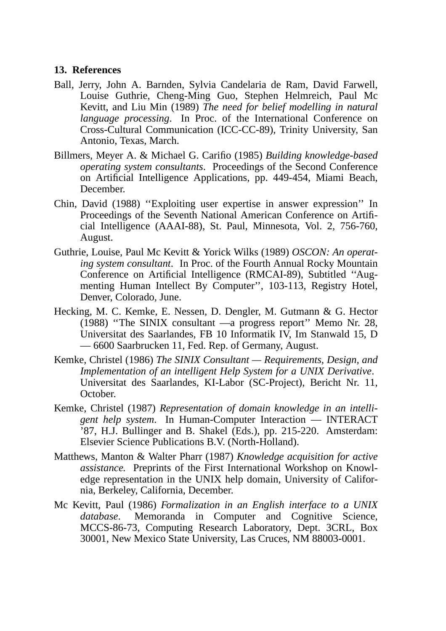### **13. References**

- Ball, Jerry, John A. Barnden, Sylvia Candelaria de Ram, David Farwell, Louise Guthrie, Cheng-Ming Guo, Stephen Helmreich, Paul Mc Kevitt, and Liu Min (1989) *The need for belief modelling in natural language processing*. In Proc. of the International Conference on Cross-Cultural Communication (ICC-CC-89), Trinity University, San Antonio, Texas, March.
- Billmers, Meyer A. & Michael G. Carifio (1985) *Building knowledge-based operating system consultants*. Proceedings of the Second Conference on Artificial Intelligence Applications, pp. 449-454, Miami Beach, December.
- Chin, David (1988) ''Exploiting user expertise in answer expression'' In Proceedings of the Seventh National American Conference on Artificial Intelligence (AAAI-88), St. Paul, Minnesota, Vol. 2, 756-760, August.
- Guthrie, Louise, Paul Mc Kevitt & Yorick Wilks (1989) *OSCON: An operating system consultant*. In Proc. of the Fourth Annual Rocky Mountain Conference on Artificial Intelligence (RMCAI-89), Subtitled ''Augmenting Human Intellect By Computer'', 103-113, Registry Hotel, Denver, Colorado, June.
- Hecking, M. C. Kemke, E. Nessen, D. Dengler, M. Gutmann & G. Hector (1988) ''The SINIX consultant —a progress report'' Memo Nr. 28, Universitat des Saarlandes, FB 10 Informatik IV, Im Stanwald 15, D — 6600 Saarbrucken 11, Fed. Rep. of Germany, August.
- Kemke, Christel (1986) *The SINIX Consultant Requirements, Design, and Implementation of an intelligent Help System for a UNIX Derivative*. Universitat des Saarlandes, KI-Labor (SC-Project), Bericht Nr. 11, October.
- Kemke, Christel (1987) *Representation of domain knowledge in an intelligent help system*. In Human-Computer Interaction — INTERACT '87, H.J. Bullinger and B. Shakel (Eds.), pp. 215-220. Amsterdam: Elsevier Science Publications B.V. (North-Holland).
- Matthews, Manton & Walter Pharr (1987) *Knowledge acquisition for active assistance.* Preprints of the First International Workshop on Knowledge representation in the UNIX help domain, University of California, Berkeley, California, December.
- Mc Kevitt, Paul (1986) *Formalization in an English interface to a UNIX database*. Memoranda in Computer and Cognitive Science, MCCS-86-73, Computing Research Laboratory, Dept. 3CRL, Box 30001, New Mexico State University, Las Cruces, NM 88003-0001.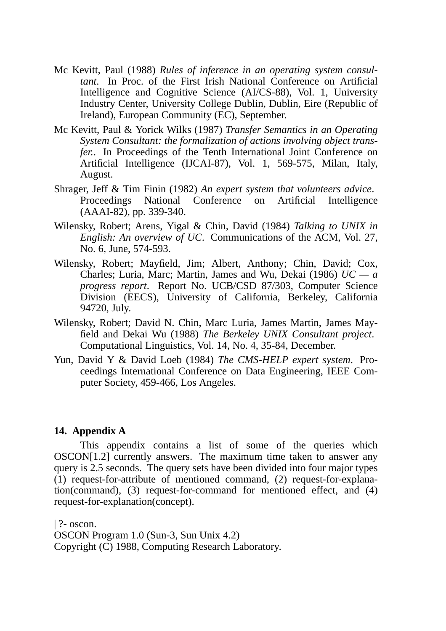- Mc Kevitt, Paul (1988) *Rules of inference in an operating system consultant*. In Proc. of the First Irish National Conference on Artificial Intelligence and Cognitive Science (AI/CS-88), Vol. 1, University Industry Center, University College Dublin, Dublin, Eire (Republic of Ireland), European Community (EC), September.
- Mc Kevitt, Paul & Yorick Wilks (1987) *Transfer Semantics in an Operating System Consultant: the formalization of actions involving object transfer.*. In Proceedings of the Tenth International Joint Conference on Artificial Intelligence (IJCAI-87), Vol. 1, 569-575, Milan, Italy, August.
- Shrager, Jeff&Tim Finin (1982) *An expert system that volunteers advice*. Proceedings National Conference on Artificial Intelligence (AAAI-82), pp. 339-340.
- Wilensky, Robert; Arens, Yigal & Chin, David (1984) *Talking to UNIX in English: An overview of UC*. Communications of the ACM, Vol. 27, No. 6, June, 574-593.
- Wilensky, Robert; Mayfield, Jim; Albert, Anthony; Chin, David; Cox, Charles; Luria, Marc; Martin, James and Wu, Dekai (1986) *UC — a progress report*. Report No. UCB/CSD 87/303, Computer Science Division (EECS), University of California, Berkeley, California 94720, July.
- Wilensky, Robert; David N. Chin, Marc Luria, James Martin, James Mayfield and Dekai Wu (1988) *The Berkeley UNIX Consultant project*. Computational Linguistics, Vol. 14, No. 4, 35-84, December.
- Yun, David Y & David Loeb (1984) *The CMS-HELP expert system*. Proceedings International Conference on Data Engineering, IEEE Computer Society, 459-466, Los Angeles.

## **14. Appendix A**

This appendix contains a list of some of the queries which OSCON[1.2] currently answers. The maximum time taken to answer any query is 2.5 seconds. The query sets have been divided into four major types (1) request-for-attribute of mentioned command, (2) request-for-explanation(command), (3) request-for-command for mentioned effect, and (4) request-for-explanation(concept).

| ?- oscon. OSCON Program 1.0 (Sun-3, Sun Unix 4.2) Copyright (C) 1988, Computing Research Laboratory.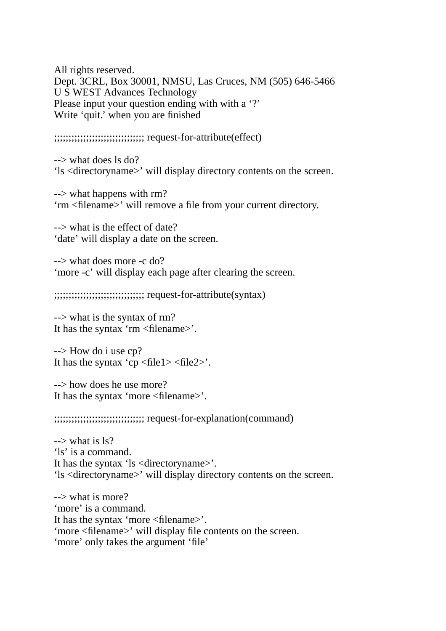All rights reserved. Dept. 3CRL, Box 30001, NMSU, Las Cruces, NM (505) 646-5466 USWEST Advances Technology Please input your question ending with with a '?' Write 'quit.' when you are finished

;;;;;;;;;;;;;;;;;;;;;;;;;;;;;;; request-for-attribute(effect)

--> what does ls do? 'ls <directoryname>' will display directory contents on the screen.

--> what happens with rm? 'rm <filename>' will remove a file from your current directory.

--> what is the effect of date? 'date' will display a date on the screen.

--> what does more -c do? 'more -c' will display each page after clearing the screen.

;;;;;;;;;;;;;;;;;;;;;;;;;;;;;;; request-for-attribute(syntax)

--> what is the syntax of rm? It has the syntax 'rm <filename>'.

--> How do i use cp? It has the syntax 'cp  $\langle$  file1> $\langle$  file2>'.

--> how does he use more? It has the syntax 'more <filename>'.

;;;;;;;;;;;;;;;;;;;;;;;;;;;;;;; request-for-explanation(command)

 $\rightarrow$  what is ls? 'ls' is a command. It has the syntax 'ls <directoryname>'. 'ls <directoryname>' will display directory contents on the screen.

--> what is more? 'more' is a command. It has the syntax 'more <filename>'. 'more <filename>' will display file contents on the screen. 'more' only takes the argument 'file'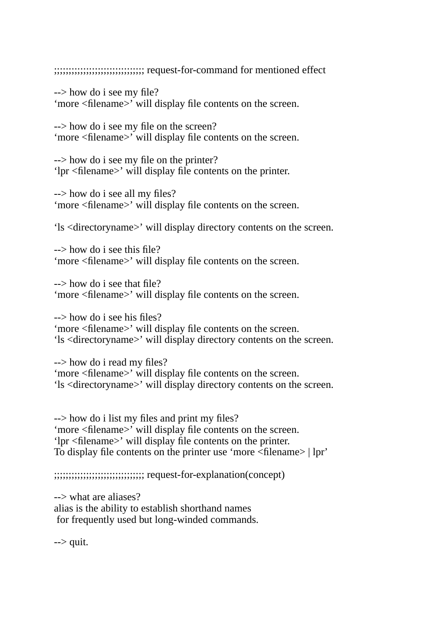;;;;;;;;;;;;;;;;;;;;;;;;;;;;;;; request-for-command for mentioned effect

--> how do i see my file? 'more <filename>' will display file contents on the screen.

--> how do i see my file on the screen? 'more <filename>' will display file contents on the screen.

--> how do i see my file on the printer? 'lpr <filename>' will display file contents on the printer.

--> how do i see all my files? 'more <filename>' will display file contents on the screen.

'ls <directoryname>' will display directory contents on the screen.

 $\rightarrow$  how do i see this file? 'more <filename>' will display file contents on the screen.

--> how do i see that file? 'more <filename>' will display file contents on the screen.

--> how do i see his files? 'more <filename>' will display file contents on the screen. 'ls <directoryname>' will display directory contents on the screen.

--> how do i read my files? 'more <filename>' will display file contents on the screen. 'ls <directoryname>' will display directory contents on the screen.

--> how do i list my files and print my files? 'more <filename>' will display file contents on the screen. 'lpr <filename>' will display file contents on the printer. To display file contents on the printer use 'more <filename> | lpr'

;;;;;;;;;;;;;;;;;;;;;;;;;;;;;;; request-for-explanation(concept)

--> what are aliases? alias is the ability to establish shorthand names for frequently used but long-winded commands.

 $\rightarrow$  quit.